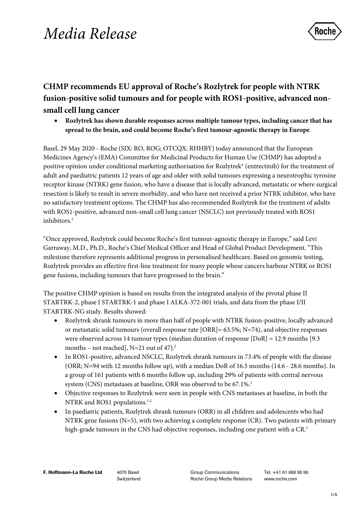# *Media Release*



# **CHMP recommends EU approval of Roche's Rozlytrek for people with NTRK fusion-positive solid tumours and for people with ROS1-positive, advanced nonsmall cell lung cancer**

• **Rozlytrek has shown durable responses across multiple tumour types, including cancer that has spread to the brain, and could become Roche's first tumour-agnostic therapy in Europe**

Basel, 29 May 2020 - Roche (SIX: RO, ROG; OTCQX: RHHBY) today announced that the European Medicines Agency's (EMA) Committee for Medicinal Products for Human Use (CHMP) has adopted a positive opinion under conditional marketing authorisation for Rozlytrek® (entrectinib) for the treatment of adult and paediatric patients 12 years of age and older with solid tumours expressing a neurotrophic tyrosine receptor kinase (NTRK) gene fusion, who have a disease that is locally advanced, metastatic or where surgical resection is likely to result in severe morbidity, and who have not received a prior NTRK inhibitor, who have no satisfactory treatment options. The CHMP has also recommended Rozlytrek for the treatment of adults with ROS1-positive, advanced non-small cell lung cancer (NSCLC) not previously treated with ROS1 inhibitors.<sup>1</sup>

"Once approved, Rozlytrek could become Roche's first tumour-agnostic therapy in Europe," said Levi Garraway, M.D., Ph.D., Roche's Chief Medical Officer and Head of Global Product Development. "This milestone therefore represents additional progress in personalised healthcare. Based on genomic testing, Rozlytrek provides an effective first-line treatment for many people whose cancers harbour NTRK or ROS1 gene fusions, including tumours that have progressed to the brain."

The positive CHMP opinion is based on results from the integrated analysis of the pivotal phase II STARTRK-2, phase I STARTRK-1 and phase I ALKA-372-001 trials, and data from the phase I/II STARTRK-NG study. Results showed:

- Rozlytrek shrank tumours in more than half of people with NTRK fusion-positive, locally advanced or metastatic solid tumours (overall response rate  $[ORR] = 63.5\%$ ; N=74), and objective responses were observed across 14 tumour types (median duration of response [DoR] = 12.9 months [9.3 months – not reached],  $N=21$  out of 47).<sup>2</sup>
- In ROS1-positive, advanced NSCLC, Rozlytrek shrank tumours in 73.4% of people with the disease (ORR; N=94 with 12 months follow up), with a median DoR of 16.5 months (14.6 - 28.6 months). In a group of 161 patients with 6 months follow up, including 29% of patients with central nervous system (CNS) metastases at baseline, ORR was observed to be 67.1%.<sup>1</sup>
- Objective responses to Rozlytrek were seen in people with CNS metastases at baseline, in both the NTRK and ROS1 populations.<sup>1,2</sup>
- In paediatric patients, Rozlytrek shrank tumours (ORR) in all children and adolescents who had NTRK gene fusions (N=5), with two achieving a complete response (CR). Two patients with primary high-grade tumours in the CNS had objective responses, including one patient with a CR.<sup>1</sup>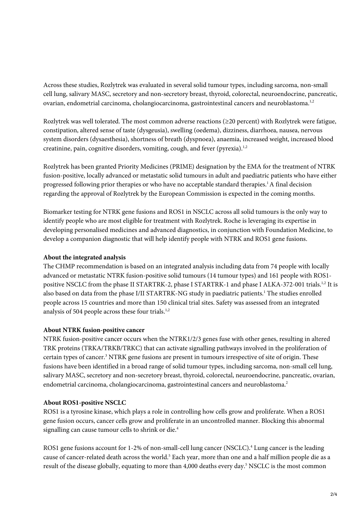Across these studies, Rozlytrek was evaluated in several solid tumour types, including sarcoma, non-small cell lung, salivary MASC, secretory and non-secretory breast, thyroid, colorectal, neuroendocrine, pancreatic, ovarian, endometrial carcinoma, cholangiocarcinoma, gastrointestinal cancers and neuroblastoma.<sup>1,2</sup>

Rozlytrek was well tolerated. The most common adverse reactions (≥20 percent) with Rozlytrek were fatigue, constipation, altered sense of taste (dysgeusia), swelling (oedema), dizziness, diarrhoea, nausea, nervous system disorders (dysaesthesia), shortness of breath (dyspnoea), anaemia, increased weight, increased blood creatinine, pain, cognitive disorders, vomiting, cough, and fever (pyrexia). $1,2$ 

Rozlytrek has been granted Priority Medicines (PRIME) designation by the EMA for the treatment of NTRK fusion-positive, locally advanced or metastatic solid tumours in adult and paediatric patients who have either progressed following prior therapies or who have no acceptable standard therapies.1 A final decision regarding the approval of Rozlytrek by the European Commission is expected in the coming months.

Biomarker testing for NTRK gene fusions and ROS1 in NSCLC across all solid tumours is the only way to identify people who are most eligible for treatment with Rozlytrek. Roche is leveraging its expertise in developing personalised medicines and advanced diagnostics, in conjunction with Foundation Medicine, to develop a companion diagnostic that will help identify people with NTRK and ROS1 gene fusions.

## **About the integrated analysis**

The CHMP recommendation is based on an integrated analysis including data from 74 people with locally advanced or metastatic NTRK fusion-positive solid tumours (14 tumour types) and 161 people with ROS1 positive NSCLC from the phase II STARTRK-2, phase I STARTRK-1 and phase I ALKA-372-001 trials.<sup>1,2</sup> It is also based on data from the phase I/II STARTRK-NG study in paediatric patients.<sup>1</sup> The studies enrolled people across 15 countries and more than 150 clinical trial sites. Safety was assessed from an integrated analysis of 504 people across these four trials.<sup>1,2</sup>

#### **About NTRK fusion-positive cancer**

NTRK fusion-positive cancer occurs when the NTRK1/2/3 genes fuse with other genes, resulting in altered TRK proteins (TRKA/TRKB/TRKC) that can activate signalling pathways involved in the proliferation of certain types of cancer.<sup>3</sup> NTRK gene fusions are present in tumours irrespective of site of origin. These fusions have been identified in a broad range of solid tumour types, including sarcoma, non-small cell lung, salivary MASC, secretory and non-secretory breast, thyroid, colorectal, neuroendocrine, pancreatic, ovarian, endometrial carcinoma, cholangiocarcinoma, gastrointestinal cancers and neuroblastoma.<sup>2</sup>

#### **About ROS1-positive NSCLC**

ROS1 is a tyrosine kinase, which plays a role in controlling how cells grow and proliferate. When a ROS1 gene fusion occurs, cancer cells grow and proliferate in an uncontrolled manner. Blocking this abnormal signalling can cause tumour cells to shrink or die.<sup>4</sup>

ROS1 gene fusions account for 1-2% of non-small-cell lung cancer (NSCLC).<sup>4</sup> Lung cancer is the leading cause of cancer-related death across the world.<sup>5</sup> Each year, more than one and a half million people die as a result of the disease globally, equating to more than 4,000 deaths every day.<sup>5</sup> NSCLC is the most common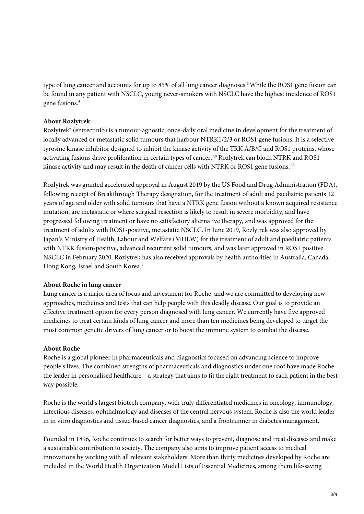type of lung cancer and accounts for up to 85% of all lung cancer diagnoses. 6 While the ROS1 gene fusion can be found in any patient with NSCLC, young never-smokers with NSCLC have the highest incidence of ROS1 gene fusions.4

## **About Rozlytrek**

Rozlytrek® (entrectinib) is a tumour-agnostic, once-daily oral medicine in development for the treatment of locally advanced or metastatic solid tumours that harbour NTRK1/2/3 or ROS1 gene fusions. It is a selective tyrosine kinase inhibitor designed to inhibit the kinase activity of the TRK A/B/C and ROS1 proteins, whose activating fusions drive proliferation in certain types of cancer.<sup>7,8</sup> Rozlytrek can block NTRK and ROS1 kinase activity and may result in the death of cancer cells with NTRK or ROS1 gene fusions.<sup>7,8</sup>

Rozlytrek was granted accelerated approval in August 2019 by the US Food and Drug Administration (FDA), following receipt of Breakthrough Therapy designation, for the treatment of adult and paediatric patients 12 years of age and older with solid tumours that have a NTRK gene fusion without a known acquired resistance mutation, are metastatic or where surgical resection is likely to result in severe morbidity, and have progressed following treatment or have no satisfactory alternative therapy, and was approved for the treatment of adults with ROS1-positive, metastatic NSCLC. In June 2019, Rozlytrek was also approved by Japan's Ministry of Health, Labour and Welfare (MHLW) for the treatment of adult and paediatric patients with NTRK fusion-positive, advanced recurrent solid tumours, and was later approved in ROS1 positive NSCLC in February 2020. Rozlytrek has also received approvals by health authorities in Australia, Canada, Hong Kong, Israel and South Korea.<sup>1</sup>

#### **About Roche in lung cancer**

Lung cancer is a major area of focus and investment for Roche, and we are committed to developing new approaches, medicines and tests that can help people with this deadly disease. Our goal is to provide an effective treatment option for every person diagnosed with lung cancer. We currently have five approved medicines to treat certain kinds of lung cancer and more than ten medicines being developed to target the most common genetic drivers of lung cancer or to boost the immune system to combat the disease.

#### **About Roche**

Roche is a global pioneer in pharmaceuticals and diagnostics focused on advancing science to improve people's lives. The combined strengths of pharmaceuticals and diagnostics under one roof have made Roche the leader in personalised healthcare – a strategy that aims to fit the right treatment to each patient in the best way possible.

Roche is the world's largest biotech company, with truly differentiated medicines in oncology, immunology, infectious diseases, ophthalmology and diseases of the central nervous system. Roche is also the world leader in in vitro diagnostics and tissue-based cancer diagnostics, and a frontrunner in diabetes management.

Founded in 1896, Roche continues to search for better ways to prevent, diagnose and treat diseases and make a sustainable contribution to society. The company also aims to improve patient access to medical innovations by working with all relevant stakeholders. More than thirty medicines developed by Roche are included in the World Health Organization Model Lists of Essential Medicines, among them life-saving